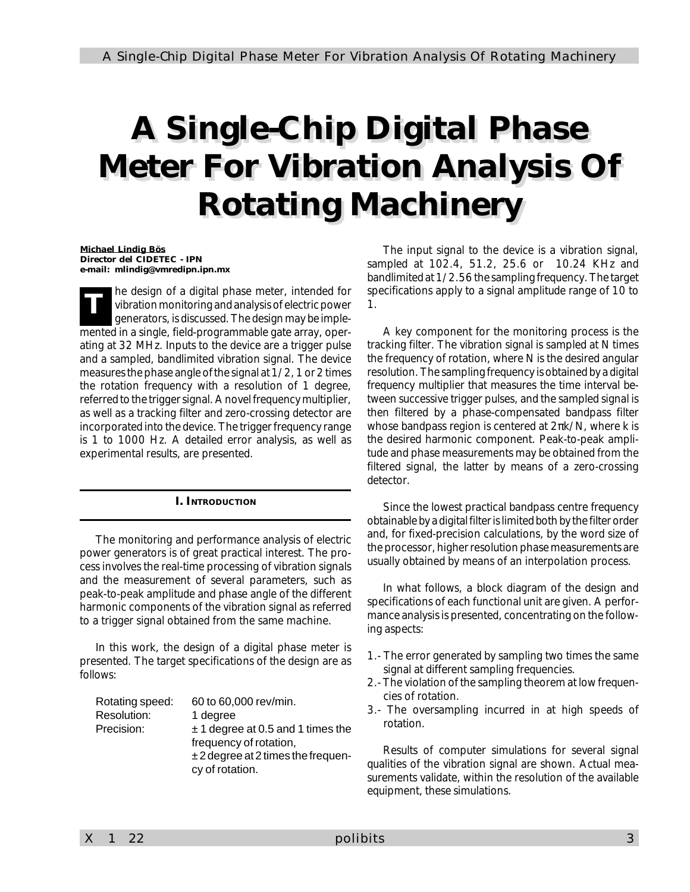# *A Single-Chip Digital Phase Meter For Vibration Analysis Of Rotating Machinery*

*Michael Lindig Bös Director del CIDETEC - IPN e-mail: mlindig@vmredipn.ipn.mx*

*T* he design of a digital phase meter, intended for vibration monitoring and analysis of electric power generators, is discussed. The design may be implemented in a single, field-programmable gate array, operating at 32 MHz. Inputs to the device are a trigger pulse and a sampled, bandlimited vibration signal. The device measures the phase angle of the signal at 1/2, 1 or 2 times the rotation frequency with a resolution of 1 degree, referred to the trigger signal. A novel frequency multiplier, as well as a tracking filter and zero-crossing detector are incorporated into the device. The trigger frequency range is 1 to 1000 Hz. A detailed error analysis, as well as experimental results, are presented.

# *I. INTRODUCTION*

The monitoring and performance analysis of electric power generators is of great practical interest. The process involves the real-time processing of vibration signals and the measurement of several parameters, such as peak-to-peak amplitude and phase angle of the different harmonic components of the vibration signal as referred to a trigger signal obtained from the same machine.

In this work, the design of a digital phase meter is presented. The target specifications of the design are as follows:

| Rotating speed: | 60 to 60,000 rev/min.               |
|-----------------|-------------------------------------|
| Resolution:     | 1 degree                            |
| Precision:      | $± 1$ degree at 0.5 and 1 times the |
|                 | frequency of rotation,              |
|                 | $±2$ degree at 2 times the frequen- |
|                 | cy of rotation.                     |
|                 |                                     |

The input signal to the device is a vibration signal, sampled at 102.4, 51.2, 25.6 or 10.24 KHz and bandlimited at 1/2.56 the sampling frequency. The target specifications apply to a signal amplitude range of 10 to 1.

A key component for the monitoring process is the tracking filter. The vibration signal is sampled at N times the frequency of rotation, where N is the desired angular resolution. The sampling frequency is obtained by a digital frequency multiplier that measures the time interval between successive trigger pulses, and the sampled signal is then filtered by a phase-compensated bandpass filter whose bandpass region is centered at  $2\pi k/N$ , where k is the desired harmonic component. Peak-to-peak amplitude and phase measurements may be obtained from the filtered signal, the latter by means of a zero-crossing detector.

Since the lowest practical bandpass centre frequency obtainable by a digital filter is limited both by the filter order and, for fixed-precision calculations, by the word size of the processor, higher resolution phase measurements are usually obtained by means of an interpolation process.

In what follows, a block diagram of the design and specifications of each functional unit are given. A performance analysis is presented, concentrating on the following aspects:

- 1.- The error generated by sampling two times the same signal at different sampling frequencies.
- 2.- The violation of the sampling theorem at low frequencies of rotation.
- 3.- The oversampling incurred in at high speeds of rotation.

Results of computer simulations for several signal qualities of the vibration signal are shown. Actual measurements validate, within the resolution of the available equipment, these simulations.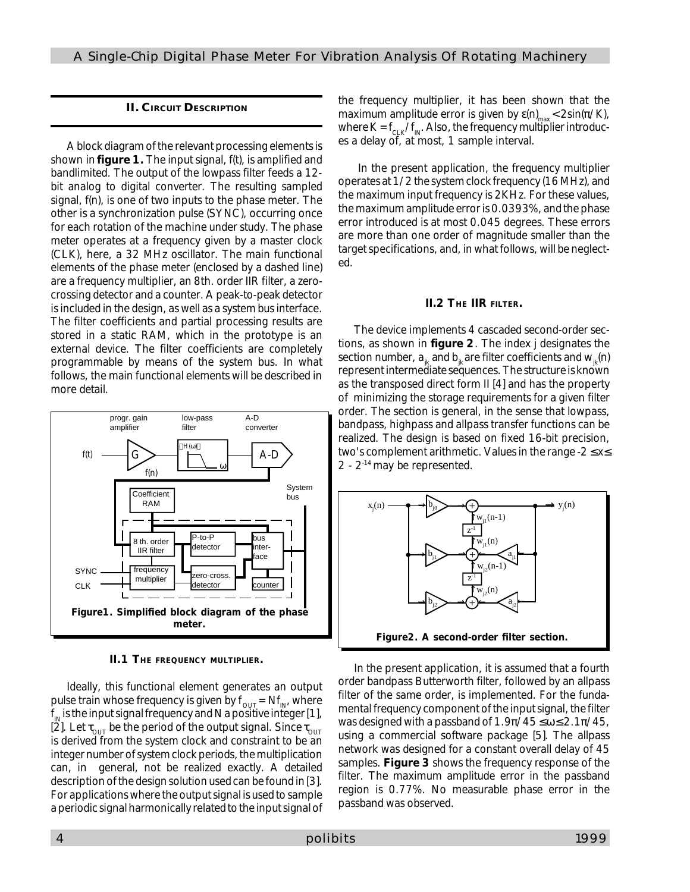# *II. CIRCUIT DESCRIPTION*

A block diagram of the relevant processing elements is shown in **figure 1.** The input signal, f(t), is amplified and bandlimited. The output of the lowpass filter feeds a 12 bit analog to digital converter. The resulting sampled signal, f(n), is one of two inputs to the phase meter. The other is a synchronization pulse (SYNC), occurring once for each rotation of the machine under study. The phase meter operates at a frequency given by a master clock (CLK), here, a 32 MHz oscillator. The main functional elements of the phase meter (enclosed by a dashed line) are a frequency multiplier, an 8th. order IIR filter, a zerocrossing detector and a counter. A peak-to-peak detector is included in the design, as well as a system bus interface. The filter coefficients and partial processing results are stored in a static RAM, which in the prototype is an external device. The filter coefficients are completely programmable by means of the system bus. In what follows, the main functional elements will be described in more detail.



**II.1 THE FREQUENCY MULTIPLIER.**

Ideally, this functional element generates an output pulse train whose frequency is given by  $f_{\text{OUT}} = Nf_{\text{IN}}$ , where  $\bm{{\mathsf{f}}}_{_\mathsf{IN}}$  is the input signal frequency and N a positive integer [1], [2]. Let  $\tau_{\text{out}}$  be the period of the output signal. Since  $\tau_{\text{out}}$ is derived from the system clock and constraint to be an integer number of system clock periods, the multiplication can, in general, not be realized exactly. A detailed description of the design solution used can be found in [3]. For applications where the output signal is used to sample a periodic signal harmonically related to the input signal of the frequency multiplier, it has been shown that the maximum amplitude error is given by ε(n)<sub>max</sub>< 2sin(π/K), where K = f $_{\scriptscriptstyle{\mathrm{CLK}}}$ /f $_{\scriptscriptstyle{\text{IN}}}$ . Also, the frequency multiplier introduces a delay of, at most, 1 sample interval.

 In the present application, the frequency multiplier operates at 1/2 the system clock frequency (16 MHz), and the maximum input frequency is 2KHz. For these values, the maximum amplitude error is 0.0393%, and the phase error introduced is at most 0.045 degrees. These errors are more than one order of magnitude smaller than the target specifications, and, in what follows, will be neglected.

# **II.2 THE IIR FILTER.**

The device implements 4 cascaded second-order sections, as shown in **figure 2**. The index j designates the section number,  $a_{ik}$  and  $b_{ik}$  are filter coefficients and  $w_{ik}(n)$ represent intermediate sequences. The structure is known as the transposed direct form II [4] and has the property of minimizing the storage requirements for a given filter order. The section is general, in the sense that lowpass, bandpass, highpass and allpass transfer functions can be realized. The design is based on fixed 16-bit precision, two's complement arithmetic. Values in the range -2 ≤ x≤ 2 - 2-14 may be represented.



In the present application, it is assumed that a fourth order bandpass Butterworth filter, followed by an allpass filter of the same order, is implemented. For the fundamental frequency component of the input signal, the filter was designed with a passband of  $1.9\pi/45 \le \omega \le 2.1\pi/45$ , using a commercial software package [5]. The allpass network was designed for a constant overall delay of 45 samples. **Figure 3** shows the frequency response of the filter. The maximum amplitude error in the passband region is 0.77%. No measurable phase error in the passband was observed.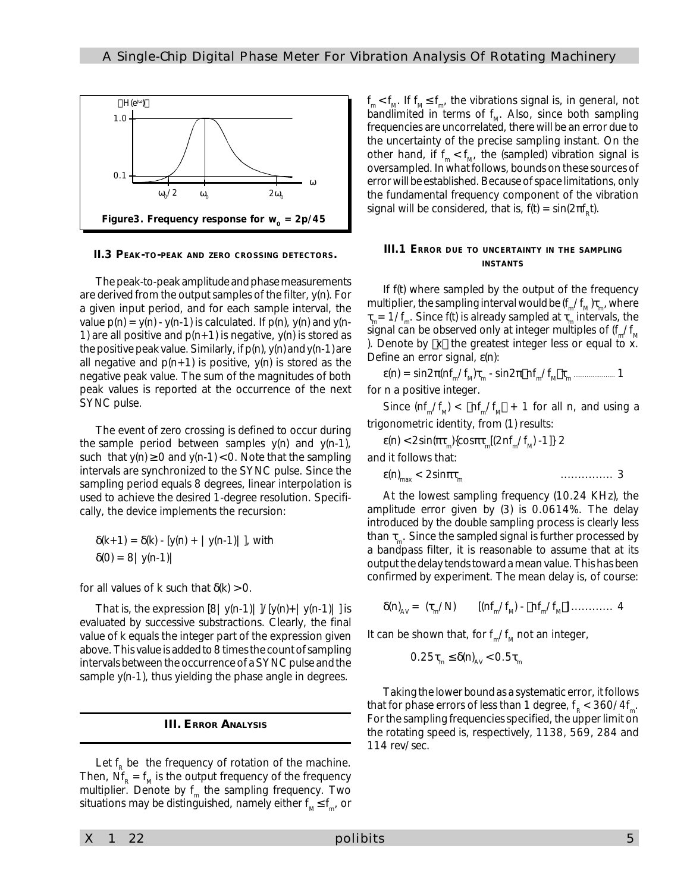

**II.3 PEAK-TO-PEAK AND ZERO CROSSING DETECTORS.**

The peak-to-peak amplitude and phase measurements are derived from the output samples of the filter, y(n). For a given input period, and for each sample interval, the value  $p(n) = y(n) - y(n-1)$  is calculated. If  $p(n)$ ,  $y(n)$  and  $y(n-1)$ 1) are all positive and  $p(n+1)$  is negative,  $y(n)$  is stored as the positive peak value. Similarly, if p(n), y(n) and y(n-1) are all negative and  $p(n+1)$  is positive,  $y(n)$  is stored as the negative peak value. The sum of the magnitudes of both peak values is reported at the occurrence of the next SYNC pulse.

The event of zero crossing is defined to occur during the sample period between samples  $y(n)$  and  $y(n-1)$ , such that  $y(n) \ge 0$  and  $y(n-1) < 0$ . Note that the sampling intervals are synchronized to the SYNC pulse. Since the sampling period equals 8 degrees, linear interpolation is used to achieve the desired 1-degree resolution. Specifically, the device implements the recursion:

$$
\delta(k+1) = \delta(k) - [y(n) + |y(n-1)|],
$$
 with 
$$
\delta(0) = 8 |y(n-1)|
$$

for all values of k such that  $\delta(k) > 0$ .

That is, the expression  $[8 \mid y(n-1) \mid ]/[y(n)+|y(n-1)|]$  is evaluated by successive substractions. Clearly, the final value of k equals the integer part of the expression given above. This value is added to 8 times the count of sampling intervals between the occurrence of a SYNC pulse and the sample y(n-1), thus yielding the phase angle in degrees.

#### *III. ERROR ANALYSIS*

Let  $f_R$  be the frequency of rotation of the machine. Then,  $\text{Nf}_{\text{R}}$  =  $\text{f}_{\text{M}}$  is the output frequency of the frequency multiplier. Denote by f<sub>m</sub> the sampling frequency. Two situations may be distinguished, namely either  $\mathsf{f}_{_{\mathsf{M}}} \mathop{\leq} \mathsf{f}_{_{\mathsf{m}}}$ , or

 $f_{m}$ <  $f_{M}$ . If  $f_{m}$   $\le$   $f_{m'}$ , the vibrations signal is, in general, not bandlimited in terms of  $f_{\scriptscriptstyle M}$ . Also, since both sampling frequencies are uncorrelated, there will be an error due to the uncertainty of the precise sampling instant. On the other hand, if  $f_{m}$  <  $f_{M'}$  the (sampled) vibration signal is oversampled. In what follows, bounds on these sources of error will be established. Because of space limitations, only the fundamental frequency component of the vibration signal will be considered, that is, f(t) =  $sin(2\pi f_R t)$ .

#### **III.1 ERROR DUE TO UNCERTAINTY IN THE SAMPLING INSTANTS**

If f(t) where sampled by the output of the frequency multiplier, the sampling interval would be (f<sub>m</sub>/f<sub>m</sub>) $\tau_{_{\sf m}}$ , where  $\tau_{_{\sf m}}$ = 1/f $_{_{\sf m}}.$  Since f(t) is already sampled at  $\tau_{_{\sf m}}$  intervals, the signal can be observed only at integer multiples of (f<sub>m</sub>/f<sub>m</sub> ). Denote by  $\lfloor x \rfloor$  the greatest integer less or equal to x. Define an error signal, ε(n):

ε(n) = sin2π(nf<sup>m</sup> /f<sup>M</sup> )τm - sin2πnf<sup>m</sup> /f<sup>M</sup> τ<sup>m</sup> ...................... 1 for n a positive integer.

Since  $(n f_m / f_m) < \lfloor n f_m / f_m \rfloor + 1$  for all n, and using a trigonometric identity, from (1) results:

ε(n) < 2sin(πτ<sub>m</sub>){cosπτ<sub>m</sub>[(2nf<sub>m</sub>/f<sub>M</sub>) -1]} 2

and it follows that:

$$
\varepsilon(n)_{\max} < 2\sin\pi\tau_m \qquad \qquad \ldots \qquad \ldots \qquad \qquad 3
$$

At the lowest sampling frequency (10.24 KHz), the amplitude error given by (3) is 0.0614%. The delay introduced by the double sampling process is clearly less than  $\tau_{_{\mathrm{m}}}$ . Since the sampled signal is further processed by a bandpass filter, it is reasonable to assume that at its output the delay tends toward a mean value. This has been confirmed by experiment. The mean delay is, of course:

δ(n)AV = (τ<sup>m</sup> /N) [(nf<sup>m</sup> /f<sup>M</sup> ) - nf<sup>m</sup> /f<sup>M</sup> ] ............ 4

It can be shown that, for  $f_{\scriptscriptstyle \rm m}/f_{\scriptscriptstyle \rm M}$  not an integer,

$$
0.25\tau_{\rm m} \le \delta(n)_{\rm av} < 0.5\tau_{\rm m}
$$

Taking the lower bound as a systematic error, it follows that for phase errors of less than 1 degree, f  $_{\textrm{\tiny{R}}}$  < 360/4f  $_{\textrm{\tiny{m}}}$ . For the sampling frequencies specified, the upper limit on the rotating speed is, respectively, 1138, 569, 284 and 114 rev/sec.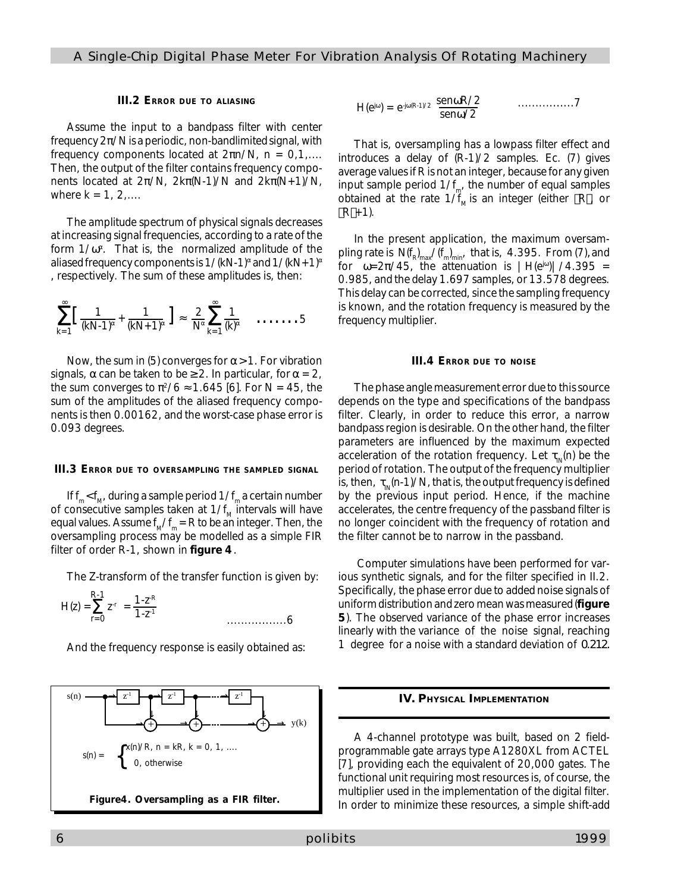#### **III.2 ERROR DUE TO ALIASING**

Assume the input to a bandpass filter with center frequency 2π/N is a periodic, non-bandlimited signal, with frequency components located at 2πn/N, n = 0,1,.... Then, the output of the filter contains frequency components located at  $2π/N$ ,  $2kπ(N-1)/N$  and  $2kπ(N+1)/N$ , where  $k = 1, 2, ...$ 

The amplitude spectrum of physical signals decreases at increasing signal frequencies, according to a rate of the form  $1/\omega^{\alpha}$ . That is, the normalized amplitude of the aliased frequency components is 1/(kN-1)<sup>α</sup> and 1/(kN+1)<sup>α</sup> , respectively. The sum of these amplitudes is, then:

$$
\sum_{k=1}^{\infty} \left[ \frac{1}{(kN-1)^{\alpha}} + \frac{1}{(kN+1)^{\alpha}} \right] \approx \frac{2}{N^{\alpha}} \sum_{k=1}^{\infty} \frac{1}{(k)^{\alpha}} \quad \ldots \ldots \ldots 5
$$

Now, the sum in (5) converges for  $\alpha$  > 1. For vibration signals,  $\alpha$  can be taken to be  $\geq 2$ . In particular, for  $\alpha = 2$ , the sum converges to  $\pi^2/6 \approx 1.645$  [6]. For N = 45, the sum of the amplitudes of the aliased frequency components is then 0.00162, and the worst-case phase error is 0.093 degrees.

#### **III.3 ERROR DUE TO OVERSAMPLING THE SAMPLED SIGNAL**

If  $\mathsf{f}_{_{\mathsf{m}}} \mathopen <$  f<sub>.w</sub>, during a sample period 1/ $\mathsf{f}_{_{\mathsf{m}}}$  a certain number of consecutive samples taken at 1/f<sub>M</sub> intervals will have equal values. Assume f<sub>m</sub>/f<sub>m</sub> = R to be an integer. Then, the oversampling process may be modelled as a simple FIR filter of order R-1, shown in **figure 4**.

The Z-transform of the transfer function is given by:

$$
H(z) = \sum_{r=0}^{R-1} z^{r} = \frac{1 \cdot z^{R}}{1 \cdot z^{1}}
$$

And the frequency response is easily obtained as:



$$
H(e^{j\omega}) = e^{-j\omega(R-1)/2} \frac{\text{sen}\omega R/2}{\text{sen}\omega/2} \qquad \qquad \dots \dots \dots \dots \dots 7
$$

That is, oversampling has a lowpass filter effect and introduces a delay of (R-1)/2 samples. Ec. (7) gives average values if R is not an integer, because for any given input sample period 1/ $f_{m'}$  the number of equal samples obtained at the rate  $1/f_{\text{M}}$  is an integer (either  $\lfloor R \rfloor$ , or  $\lfloor R \rfloor + 1$ ).

In the present application, the maximum oversampling rate is  $\,{\mathsf N\hspace{1pt}}(\mathsf{f}_{\mathsf{R}})_{\mathsf{max}}^{\phantom{\mathsf{pr}}}/(\mathsf{f}_{\mathsf{m}}^{\phantom{\mathsf{pr}}})_{\mathsf{min}}^{\phantom{\mathsf{pr}}^{\mathsf{mr}}}$  that is, 4.395. From (7), and for  $ω=2π/45$ , the attenuation is  $|H(e^{jω})|/4.395$  = 0.985, and the delay 1.697 samples, or 13.578 degrees. This delay can be corrected, since the sampling frequency is known, and the rotation frequency is measured by the frequency multiplier.

#### **III.4 ERROR DUE TO NOISE**

The phase angle measurement error due to this source depends on the type and specifications of the bandpass filter. Clearly, in order to reduce this error, a narrow bandpass region is desirable. On the other hand, the filter parameters are influenced by the maximum expected acceleration of the rotation frequency. Let  $\tau_{_{\mathsf{IN}}}$ (n) be the period of rotation. The output of the frequency multiplier is, then,  $\, \tau_{_{\sf IN}\!}$ (n-1)/N, that is, the output frequency is defined by the previous input period. Hence, if the machine accelerates, the centre frequency of the passband filter is no longer coincident with the frequency of rotation and the filter cannot be to narrow in the passband.

 Computer simulations have been performed for various synthetic signals, and for the filter specified in II.2. Specifically, the phase error due to added noise signals of uniform distribution and zero mean was measured (**figure 5**). The observed variance of the phase error increases linearly with the variance of the noise signal, reaching 1 degree for a noise with a standard deviation of 0.212.

#### *IV. PHYSICAL IMPLEMENTATION*

A 4-channel prototype was built, based on 2 fieldprogrammable gate arrays type A1280XL from ACTEL [7], providing each the equivalent of 20,000 gates. The functional unit requiring most resources is, of course, the multiplier used in the implementation of the digital filter. In order to minimize these resources, a simple shift-add